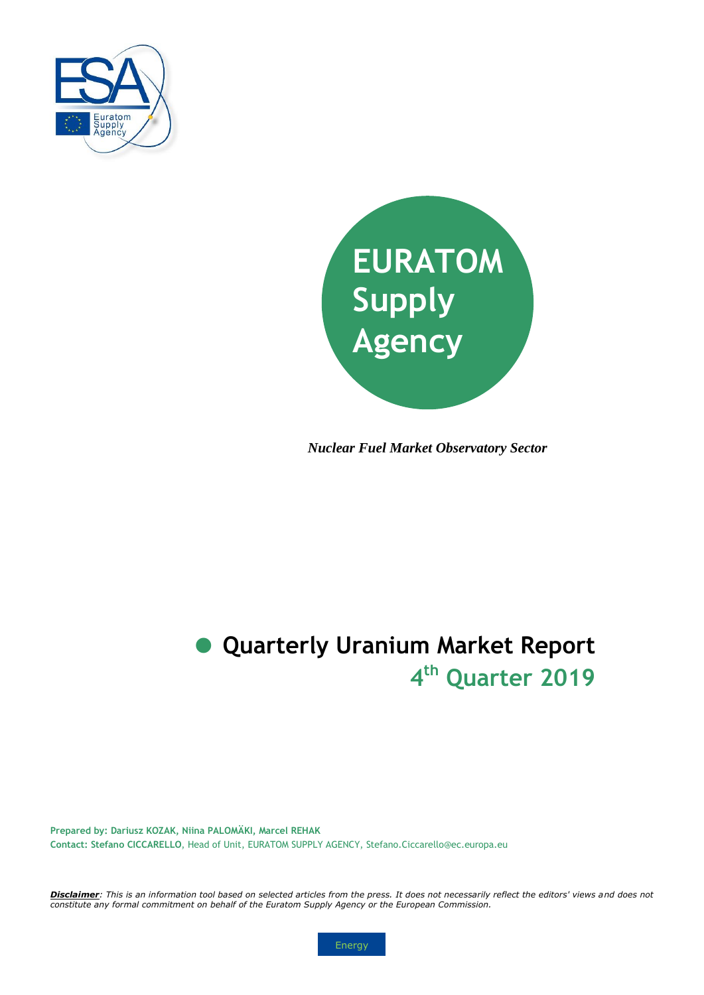



*Nuclear Fuel Market Observatory Sector*

# **4 th Quarter 2019 Quarterly Uranium Market Report**

**Prepared by: Dariusz KOZAK, Niina PALOMÄKI, Marcel REHAK Contact: Stefano CICCARELLO**, Head of Unit, EURATOM SUPPLY AGENCY, Stefano.Ciccarello@ec.europa.eu

*Disclaimer: This is an information tool based on selected articles from the press. It does not necessarily reflect the editors' views and does not constitute any formal commitment on behalf of the Euratom Supply Agency or the European Commission.*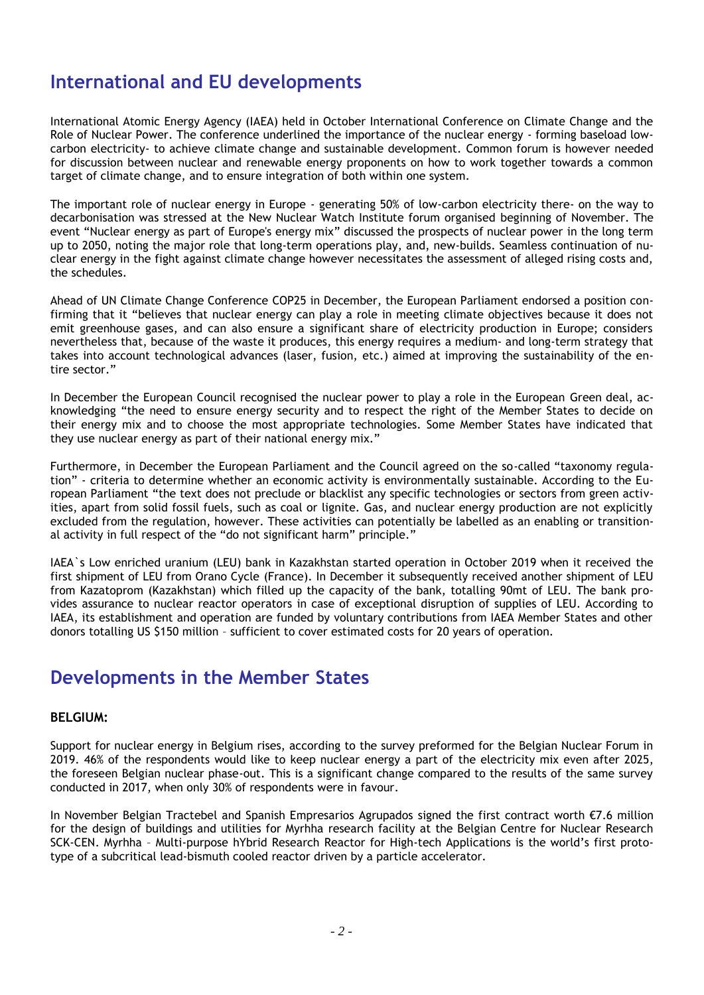### **International and EU developments**

International Atomic Energy Agency (IAEA) held in October International Conference on Climate Change and the Role of Nuclear Power. The conference underlined the importance of the nuclear energy - forming baseload lowcarbon electricity- to achieve climate change and sustainable development. Common forum is however needed for discussion between nuclear and renewable energy proponents on how to work together towards a common target of climate change, and to ensure integration of both within one system.

The important role of nuclear energy in Europe - generating 50% of low-carbon electricity there- on the way to decarbonisation was stressed at the New Nuclear Watch Institute forum organised beginning of November. The event "Nuclear energy as part of Europe's energy mix" discussed the prospects of nuclear power in the long term up to 2050, noting the major role that long-term operations play, and, new-builds. Seamless continuation of nuclear energy in the fight against climate change however necessitates the assessment of alleged rising costs and, the schedules.

Ahead of UN Climate Change Conference COP25 in December, the European Parliament endorsed a position confirming that it "believes that nuclear energy can play a role in meeting climate objectives because it does not emit greenhouse gases, and can also ensure a significant share of electricity production in Europe; considers nevertheless that, because of the waste it produces, this energy requires a medium- and long-term strategy that takes into account technological advances (laser, fusion, etc.) aimed at improving the sustainability of the entire sector."

In December the European Council recognised the nuclear power to play a role in the European Green deal, acknowledging "the need to ensure energy security and to respect the right of the Member States to decide on their energy mix and to choose the most appropriate technologies. Some Member States have indicated that they use nuclear energy as part of their national energy mix."

Furthermore, in December the European Parliament and the Council agreed on the so-called "taxonomy regulation" - criteria to determine whether an economic activity is environmentally sustainable. According to the European Parliament "the text does not preclude or blacklist any specific technologies or sectors from green activities, apart from solid fossil fuels, such as coal or lignite. Gas, and nuclear energy production are not explicitly excluded from the regulation, however. These activities can potentially be labelled as an enabling or transitional activity in full respect of the "do not significant harm" principle."

IAEA`s Low enriched uranium (LEU) bank in Kazakhstan started operation in October 2019 when it received the first shipment of LEU from Orano Cycle (France). In December it subsequently received another shipment of LEU from Kazatoprom (Kazakhstan) which filled up the capacity of the bank, totalling 90mt of LEU. The bank provides assurance to nuclear reactor operators in case of exceptional disruption of supplies of LEU. According to IAEA, its establishment and operation are funded by voluntary contributions from IAEA Member States and other donors totalling US \$150 million – sufficient to cover estimated costs for 20 years of operation.

### **Developments in the Member States**

#### **BELGIUM:**

Support for nuclear energy in Belgium rises, according to the survey preformed for the Belgian Nuclear Forum in 2019. 46% of the respondents would like to keep nuclear energy a part of the electricity mix even after 2025, the foreseen Belgian nuclear phase-out. This is a significant change compared to the results of the same survey conducted in 2017, when only 30% of respondents were in favour.

In November Belgian Tractebel and Spanish Empresarios Agrupados signed the first contract worth €7.6 million for the design of buildings and utilities for Myrhha research facility at the Belgian Centre for Nuclear Research SCK-CEN. Myrhha – Multi-purpose hYbrid Research Reactor for High-tech Applications is the world's first prototype of a subcritical lead-bismuth cooled reactor driven by a particle accelerator.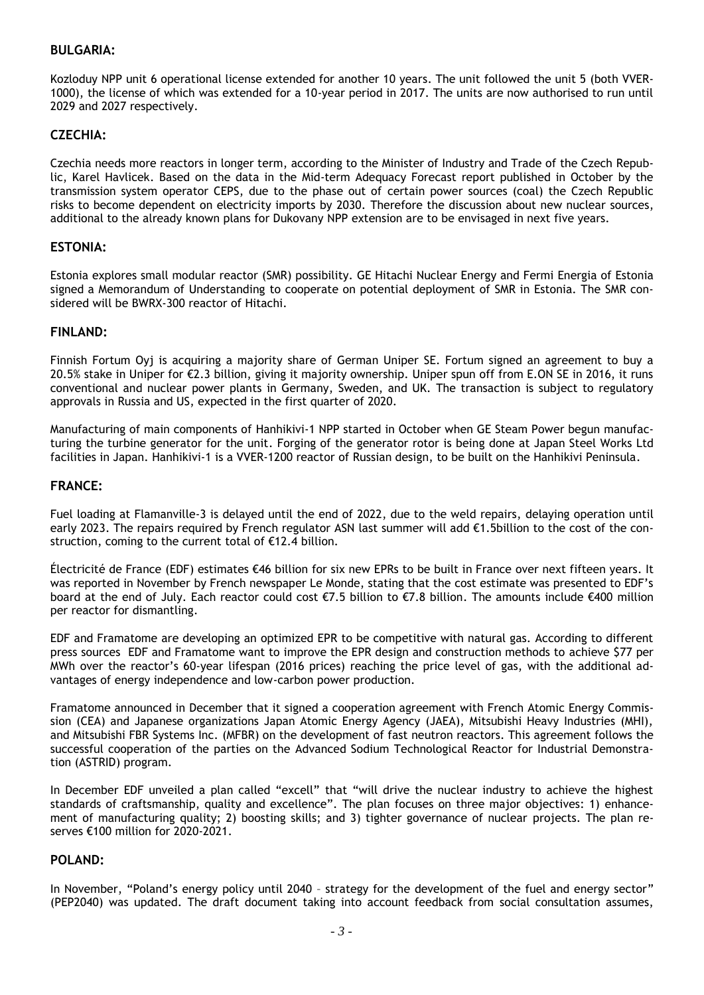#### **BULGARIA:**

Kozloduy NPP unit 6 operational license extended for another 10 years. The unit followed the unit 5 (both VVER-1000), the license of which was extended for a 10-year period in 2017. The units are now authorised to run until 2029 and 2027 respectively.

#### **CZECHIA:**

Czechia needs more reactors in longer term, according to the Minister of Industry and Trade of the Czech Republic, Karel Havlicek. Based on the data in the Mid-term Adequacy Forecast report published in October by the transmission system operator CEPS, due to the phase out of certain power sources (coal) the Czech Republic risks to become dependent on electricity imports by 2030. Therefore the discussion about new nuclear sources, additional to the already known plans for Dukovany NPP extension are to be envisaged in next five years.

#### **ESTONIA:**

Estonia explores small modular reactor (SMR) possibility. GE Hitachi Nuclear Energy and Fermi Energia of Estonia signed a Memorandum of Understanding to cooperate on potential deployment of SMR in Estonia. The SMR considered will be BWRX-300 reactor of Hitachi.

#### **FINLAND:**

Finnish Fortum Oyj is acquiring a majority share of German Uniper SE. Fortum signed an agreement to buy a 20.5% stake in Uniper for €2.3 billion, giving it majority ownership. Uniper spun off from E.ON SE in 2016, it runs conventional and nuclear power plants in Germany, Sweden, and UK. The transaction is subject to regulatory approvals in Russia and US, expected in the first quarter of 2020.

Manufacturing of main components of Hanhikivi-1 NPP started in October when GE Steam Power begun manufacturing the turbine generator for the unit. Forging of the generator rotor is being done at Japan Steel Works Ltd facilities in Japan. Hanhikivi-1 is a VVER-1200 reactor of Russian design, to be built on the Hanhikivi Peninsula.

#### **FRANCE:**

Fuel loading at Flamanville-3 is delayed until the end of 2022, due to the weld repairs, delaying operation until early 2023. The repairs required by French regulator ASN last summer will add €1.5billion to the cost of the construction, coming to the current total of €12.4 billion.

Électricité de France (EDF) estimates €46 billion for six new EPRs to be built in France over next fifteen years. It was reported in November by French newspaper Le Monde, stating that the cost estimate was presented to EDF's board at the end of July. Each reactor could cost €7.5 billion to €7.8 billion. The amounts include €400 million per reactor for dismantling.

EDF and Framatome are developing an optimized EPR to be competitive with natural gas. According to different press sources EDF and Framatome want to improve the EPR design and construction methods to achieve \$77 per MWh over the reactor's 60-year lifespan (2016 prices) reaching the price level of gas, with the additional advantages of energy independence and low-carbon power production.

Framatome announced in December that it signed a cooperation agreement with French Atomic Energy Commission (CEA) and Japanese organizations Japan Atomic Energy Agency (JAEA), Mitsubishi Heavy Industries (MHI), and Mitsubishi FBR Systems Inc. (MFBR) on the development of fast neutron reactors. This agreement follows the successful cooperation of the parties on the Advanced Sodium Technological Reactor for Industrial Demonstration (ASTRID) program.

In December EDF unveiled a plan called "excell" that "will drive the nuclear industry to achieve the highest standards of craftsmanship, quality and excellence". The plan focuses on three major objectives: 1) enhancement of manufacturing quality; 2) boosting skills; and 3) tighter governance of nuclear projects. The plan reserves €100 million for 2020-2021.

#### **POLAND:**

In November, "Poland's energy policy until 2040 – strategy for the development of the fuel and energy sector" (PEP2040) was updated. The draft document taking into account feedback from social consultation assumes,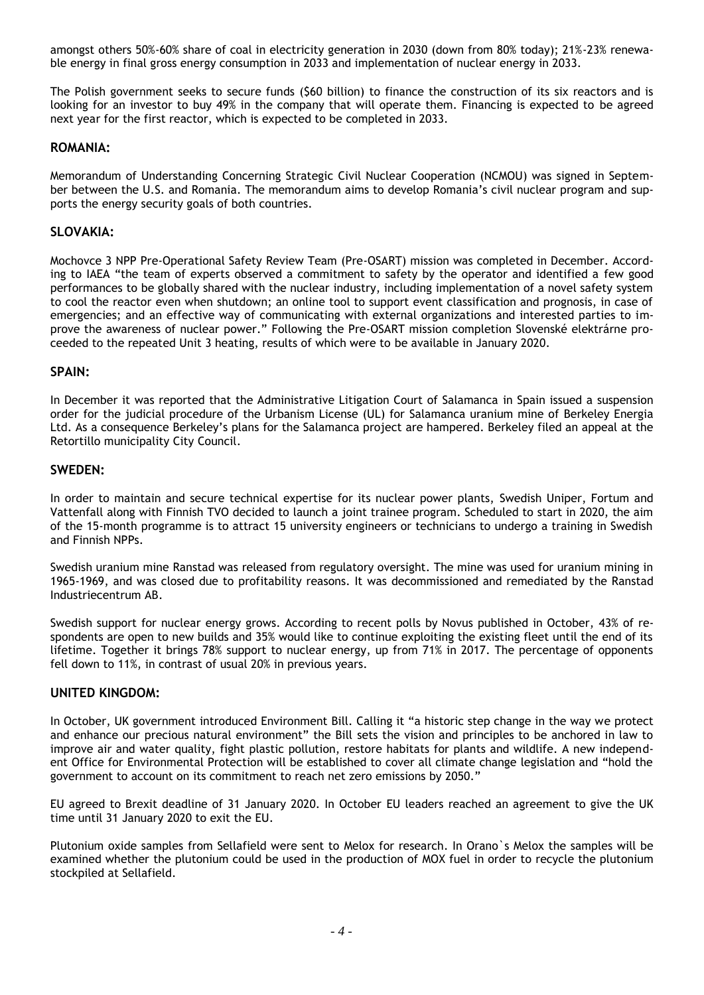amongst others 50%-60% share of coal in electricity generation in 2030 (down from 80% today); 21%-23% renewable energy in final gross energy consumption in 2033 and implementation of nuclear energy in 2033.

The Polish government seeks to secure funds (\$60 billion) to finance the construction of its six reactors and is looking for an investor to buy 49% in the company that will operate them. Financing is expected to be agreed next year for the first reactor, which is expected to be completed in 2033.

#### **ROMANIA:**

Memorandum of Understanding Concerning Strategic Civil Nuclear Cooperation (NCMOU) was signed in September between the U.S. and Romania. The memorandum aims to develop Romania's civil nuclear program and supports the energy security goals of both countries.

#### **SLOVAKIA:**

Mochovce 3 NPP Pre-Operational Safety Review Team (Pre-OSART) mission was completed in December. According to IAEA "the team of experts observed a commitment to safety by the operator and identified a few good performances to be globally shared with the nuclear industry, including implementation of a novel safety system to cool the reactor even when shutdown; an online tool to support event classification and prognosis, in case of emergencies; and an effective way of communicating with external organizations and interested parties to improve the awareness of nuclear power." Following the Pre-OSART mission completion Slovenské elektrárne proceeded to the repeated Unit 3 heating, results of which were to be available in January 2020.

#### **SPAIN:**

In December it was reported that the Administrative Litigation Court of Salamanca in Spain issued a suspension order for the judicial procedure of the Urbanism License (UL) for Salamanca uranium mine of Berkeley Energia Ltd. As a consequence Berkeley's plans for the Salamanca project are hampered. Berkeley filed an appeal at the Retortillo municipality City Council.

#### **SWEDEN:**

In order to maintain and secure technical expertise for its nuclear power plants, Swedish Uniper, Fortum and Vattenfall along with Finnish TVO decided to launch a joint trainee program. Scheduled to start in 2020, the aim of the 15-month programme is to attract 15 university engineers or technicians to undergo a training in Swedish and Finnish NPPs.

Swedish uranium mine Ranstad was released from regulatory oversight. The mine was used for uranium mining in 1965-1969, and was closed due to profitability reasons. It was decommissioned and remediated by the Ranstad Industriecentrum AB.

Swedish support for nuclear energy grows. According to recent polls by Novus published in October, 43% of respondents are open to new builds and 35% would like to continue exploiting the existing fleet until the end of its lifetime. Together it brings 78% support to nuclear energy, up from 71% in 2017. The percentage of opponents fell down to 11%, in contrast of usual 20% in previous years.

#### **UNITED KINGDOM:**

In October, UK government introduced Environment Bill. Calling it "a historic step change in the way we protect and enhance our precious natural environment" the Bill sets the vision and principles to be anchored in law to improve air and water quality, fight plastic pollution, restore habitats for plants and wildlife. A new independent Office for Environmental Protection will be established to cover all climate change legislation and "hold the government to account on its commitment to reach net zero emissions by 2050."

EU agreed to Brexit deadline of 31 January 2020. In October EU leaders reached an agreement to give the UK time until 31 January 2020 to exit the EU.

Plutonium oxide samples from Sellafield were sent to Melox for research. In Orano`s Melox the samples will be examined whether the plutonium could be used in the production of MOX fuel in order to recycle the plutonium stockpiled at Sellafield.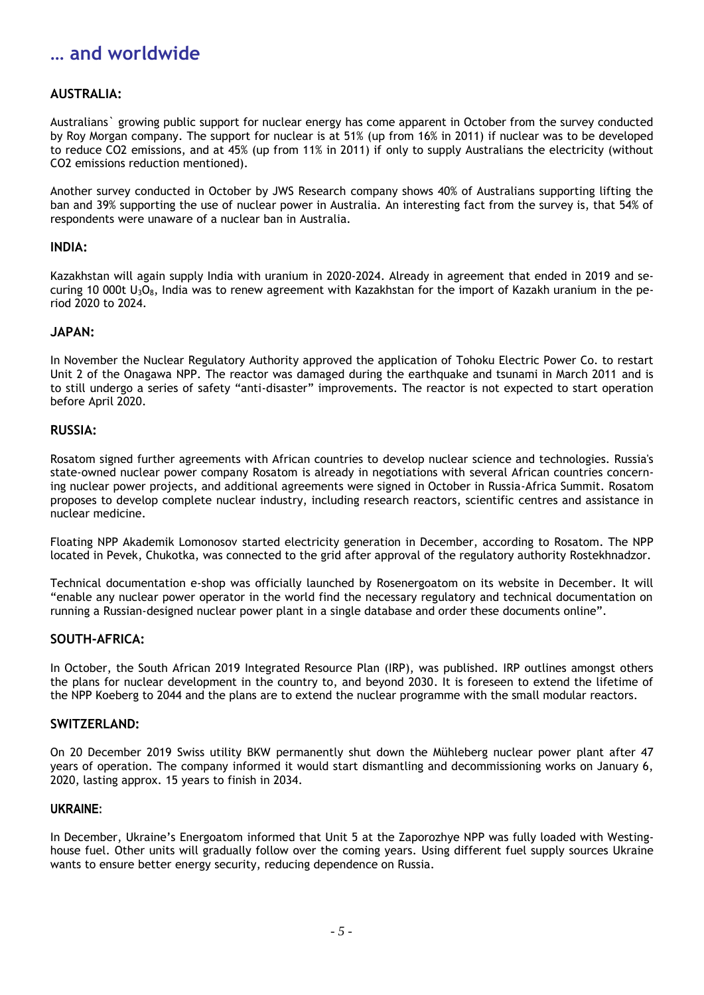### **… and worldwide**

#### **AUSTRALIA:**

Australians` growing public support for nuclear energy has come apparent in October from the survey conducted by Roy Morgan company. The support for nuclear is at 51% (up from 16% in 2011) if nuclear was to be developed to reduce CO2 emissions, and at 45% (up from 11% in 2011) if only to supply Australians the electricity (without CO2 emissions reduction mentioned).

Another survey conducted in October by JWS Research company shows 40% of Australians supporting lifting the ban and 39% supporting the use of nuclear power in Australia. An interesting fact from the survey is, that 54% of respondents were unaware of a nuclear ban in Australia.

#### **INDIA:**

Kazakhstan will again supply India with uranium in 2020-2024. Already in agreement that ended in 2019 and securing 10 000t  $U_3O_8$ , India was to renew agreement with Kazakhstan for the import of Kazakh uranium in the period 2020 to 2024.

#### **JAPAN:**

In November the Nuclear Regulatory Authority approved the application of Tohoku Electric Power Co. to restart Unit 2 of the Onagawa NPP. The reactor was damaged during the earthquake and tsunami in March 2011 and is to still undergo a series of safety "anti-disaster" improvements. The reactor is not expected to start operation before April 2020.

#### **RUSSIA:**

Rosatom signed further agreements with African countries to develop nuclear science and technologies. Russia's state-owned nuclear power company Rosatom is already in negotiations with several African countries concerning nuclear power projects, and additional agreements were signed in October in Russia-Africa Summit. Rosatom proposes to develop complete nuclear industry, including research reactors, scientific centres and assistance in nuclear medicine.

Floating NPP Akademik Lomonosov started electricity generation in December, according to Rosatom. The NPP located in Pevek, Chukotka, was connected to the grid after approval of the regulatory authority Rostekhnadzor.

Technical documentation e-shop was officially launched by Rosenergoatom on its website in December. It will "enable any nuclear power operator in the world find the necessary regulatory and technical documentation on running a Russian-designed nuclear power plant in a single database and order these documents online".

#### **SOUTH-AFRICA:**

In October, the South African 2019 Integrated Resource Plan (IRP), was published. IRP outlines amongst others the plans for nuclear development in the country to, and beyond 2030. It is foreseen to extend the lifetime of the NPP Koeberg to 2044 and the plans are to extend the nuclear programme with the small modular reactors.

#### **SWITZERLAND:**

On 20 December 2019 Swiss utility BKW permanently shut down the Mühleberg nuclear power plant after 47 years of operation. The company informed it would start dismantling and decommissioning works on January 6, 2020, lasting approx. 15 years to finish in 2034.

#### **UKRAINE:**

In December, Ukraine's Energoatom informed that Unit 5 at the Zaporozhye NPP was fully loaded with Westinghouse fuel. Other units will gradually follow over the coming years. Using different fuel supply sources Ukraine wants to ensure better energy security, reducing dependence on Russia.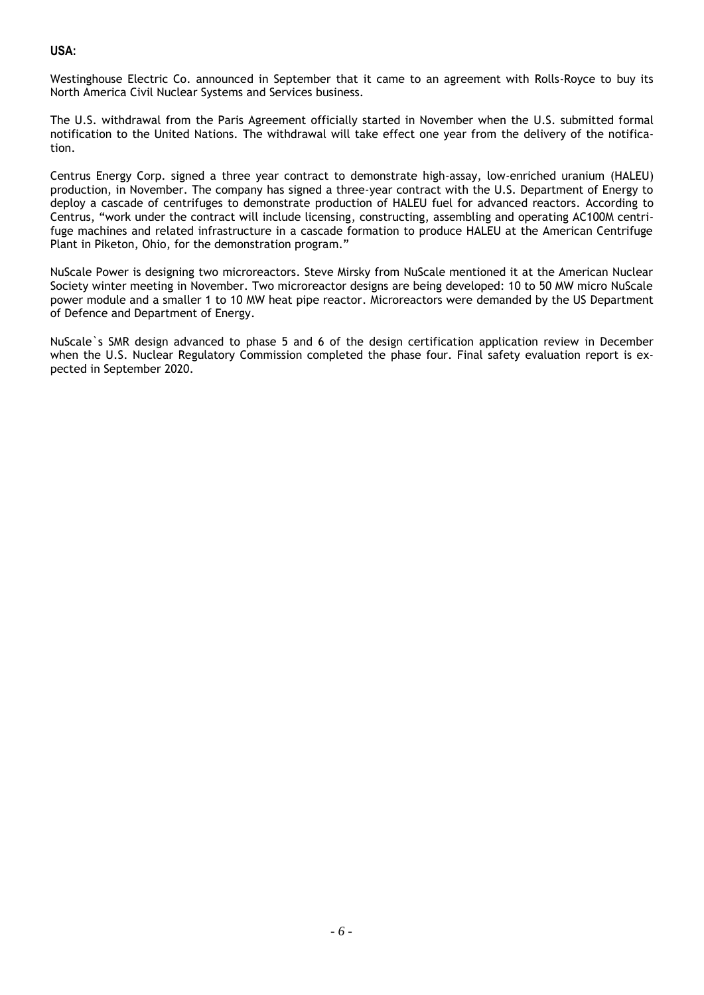#### **USA:**

Westinghouse Electric Co. announced in September that it came to an agreement with Rolls-Royce to buy its North America Civil Nuclear Systems and Services business.

The U.S. withdrawal from the Paris Agreement officially started in November when the U.S. submitted formal notification to the United Nations. The withdrawal will take effect one year from the delivery of the notification.

Centrus Energy Corp. signed a three year contract to demonstrate high-assay, low-enriched uranium (HALEU) production, in November. The company has signed a three-year contract with the U.S. Department of Energy to deploy a cascade of centrifuges to demonstrate production of HALEU fuel for advanced reactors. According to Centrus, "work under the contract will include licensing, constructing, assembling and operating AC100M centrifuge machines and related infrastructure in a cascade formation to produce HALEU at the American Centrifuge Plant in Piketon, Ohio, for the demonstration program."

NuScale Power is designing two microreactors. Steve Mirsky from NuScale mentioned it at the American Nuclear Society winter meeting in November. Two microreactor designs are being developed: 10 to 50 MW micro NuScale power module and a smaller 1 to 10 MW heat pipe reactor. Microreactors were demanded by the US Department of Defence and Department of Energy.

NuScale`s SMR design advanced to phase 5 and 6 of the design certification application review in December when the U.S. Nuclear Regulatory Commission completed the phase four. Final safety evaluation report is expected in September 2020.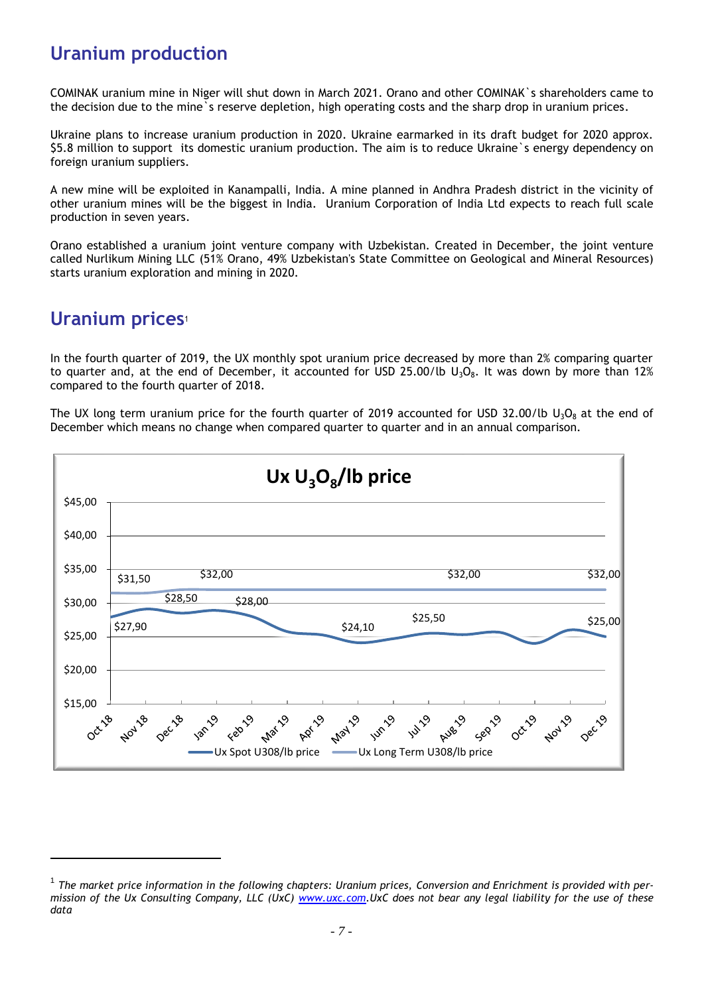### **Uranium production**

COMINAK uranium mine in Niger will shut down in March 2021. Orano and other COMINAK`s shareholders came to the decision due to the mine`s reserve depletion, high operating costs and the sharp drop in uranium prices.

Ukraine plans to increase uranium production in 2020. Ukraine earmarked in its draft budget for 2020 approx. \$5.8 million to support its domestic uranium production. The aim is to reduce Ukraine`s energy dependency on foreign uranium suppliers.

A new mine will be exploited in Kanampalli, India. A mine planned in Andhra Pradesh district in the vicinity of other uranium mines will be the biggest in India. Uranium Corporation of India Ltd expects to reach full scale production in seven years.

Orano established a uranium joint venture company with Uzbekistan. Created in December, the joint venture called Nurlikum Mining LLC (51% Orano, 49% Uzbekistan's State Committee on Geological and Mineral Resources) starts uranium exploration and mining in 2020.

### **Uranium prices**<sup>1</sup>

l

In the fourth quarter of 2019, the UX monthly spot uranium price decreased by more than 2% comparing quarter to quarter and, at the end of December, it accounted for USD 25.00/lb  $U_3O_8$ . It was down by more than 12% compared to the fourth quarter of 2018.

The UX long term uranium price for the fourth quarter of 2019 accounted for USD 32.00/lb  $U_3O_8$  at the end of December which means no change when compared quarter to quarter and in an annual comparison.



<sup>&</sup>lt;sup>1</sup> The market price information in the following chapters: Uranium prices, Conversion and Enrichment is provided with per*mission of the Ux Consulting Company, LLC (UxC) [www.uxc.com.](http://www.uxc.com/)UxC does not bear any legal liability for the use of these data*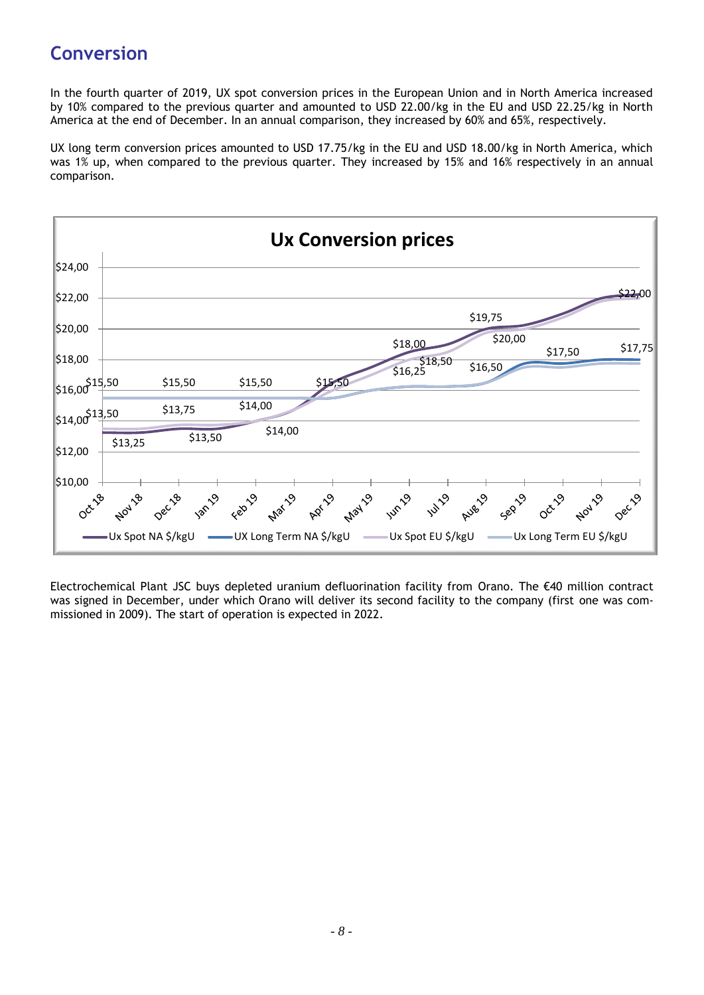# **Conversion**

In the fourth quarter of 2019, UX spot conversion prices in the European Union and in North America increased by 10% compared to the previous quarter and amounted to USD 22.00/kg in the EU and USD 22.25/kg in North America at the end of December. In an annual comparison, they increased by 60% and 65%, respectively.

UX long term conversion prices amounted to USD 17.75/kg in the EU and USD 18.00/kg in North America, which was 1% up, when compared to the previous quarter. They increased by 15% and 16% respectively in an annual comparison.



Electrochemical Plant JSC buys depleted uranium defluorination facility from Orano. The €40 million contract was signed in December, under which Orano will deliver its second facility to the company (first one was commissioned in 2009). The start of operation is expected in 2022.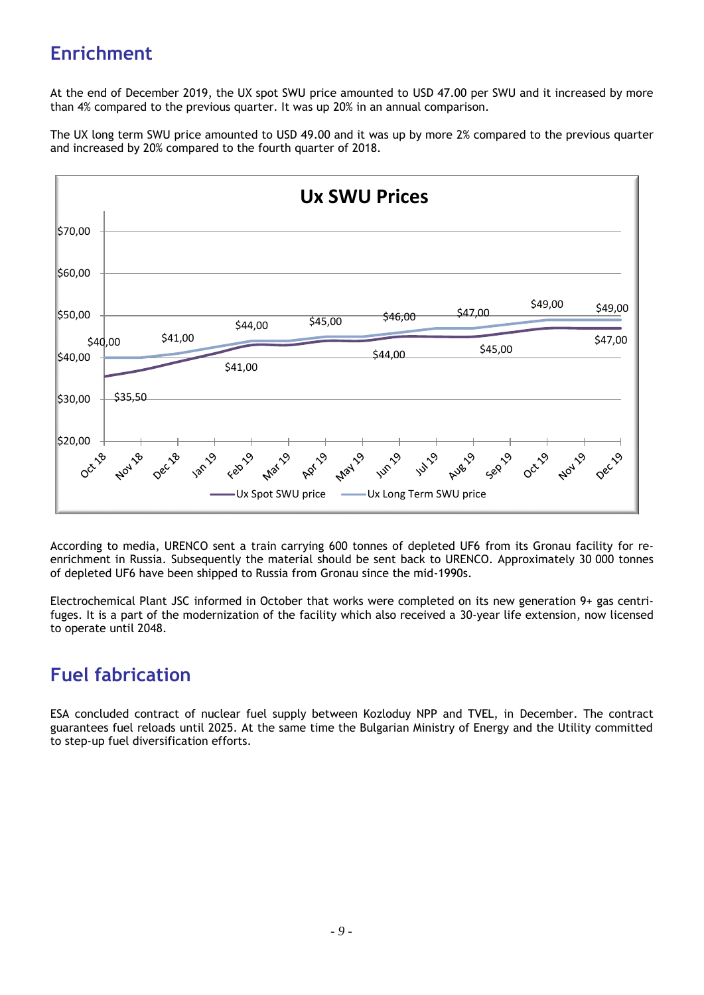# **Enrichment**

At the end of December 2019, the UX spot SWU price amounted to USD 47.00 per SWU and it increased by more than 4% compared to the previous quarter. It was up 20% in an annual comparison.

The UX long term SWU price amounted to USD 49.00 and it was up by more 2% compared to the previous quarter and increased by 20% compared to the fourth quarter of 2018.



According to media, URENCO sent a train carrying 600 tonnes of depleted UF6 from its Gronau facility for reenrichment in Russia. Subsequently the material should be sent back to URENCO. Approximately 30 000 tonnes of depleted UF6 have been shipped to Russia from Gronau since the mid-1990s.

Electrochemical Plant JSC informed in October that works were completed on its new generation 9+ gas centrifuges. It is a part of the modernization of the facility which also received a 30-year life extension, now licensed to operate until 2048.

### **Fuel fabrication**

ESA concluded contract of nuclear fuel supply between Kozloduy NPP and TVEL, in December. The contract guarantees fuel reloads until 2025. At the same time the Bulgarian Ministry of Energy and the Utility committed to step-up fuel diversification efforts.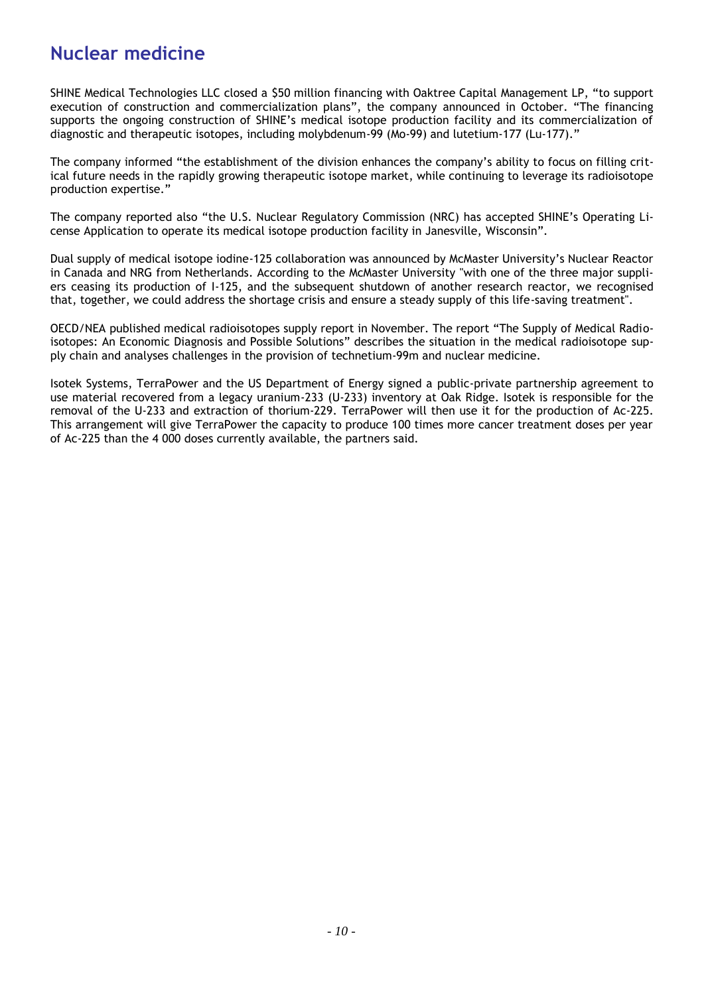### **Nuclear medicine**

SHINE Medical Technologies LLC closed a \$50 million financing with Oaktree Capital Management LP, "to support execution of construction and commercialization plans", the company announced in October. "The financing supports the ongoing construction of SHINE's medical isotope production facility and its commercialization of diagnostic and therapeutic isotopes, including molybdenum-99 (Mo-99) and lutetium-177 (Lu-177)."

The company informed "the establishment of the division enhances the company's ability to focus on filling critical future needs in the rapidly growing therapeutic isotope market, while continuing to leverage its radioisotope production expertise."

The company reported also "the U.S. Nuclear Regulatory Commission (NRC) has accepted SHINE's Operating License Application to operate its medical isotope production facility in Janesville, Wisconsin".

Dual supply of medical isotope iodine-125 collaboration was announced by McMaster University's Nuclear Reactor in Canada and NRG from Netherlands. According to the McMaster University "with one of the three major suppliers ceasing its production of I-125, and the subsequent shutdown of another research reactor, we recognised that, together, we could address the shortage crisis and ensure a steady supply of this life-saving treatment".

OECD/NEA published medical radioisotopes supply report in November. The report "The Supply of Medical Radioisotopes: An Economic Diagnosis and Possible Solutions" describes the situation in the medical radioisotope supply chain and analyses challenges in the provision of technetium-99m and nuclear medicine.

Isotek Systems, TerraPower and the US Department of Energy signed a public-private partnership agreement to use material recovered from a legacy uranium-233 (U-233) inventory at Oak Ridge. Isotek is responsible for the removal of the U-233 and extraction of thorium-229. TerraPower will then use it for the production of Ac-225. This arrangement will give TerraPower the capacity to produce 100 times more cancer treatment doses per year of Ac-225 than the 4 000 doses currently available, the partners said.